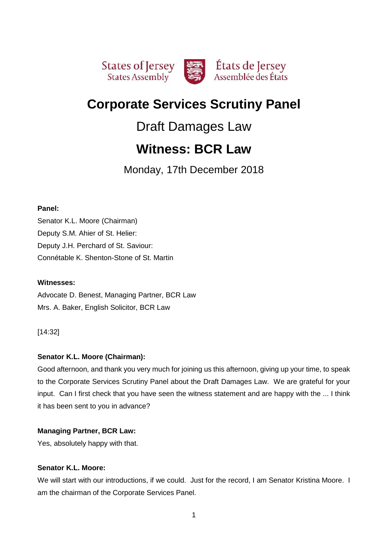

# **Corporate Services Scrutiny Panel**

# Draft Damages Law

# **Witness: BCR Law**

Monday, 17th December 2018

## **Panel:**

Senator K.L. Moore (Chairman) Deputy S.M. Ahier of St. Helier: Deputy J.H. Perchard of St. Saviour: Connétable K. Shenton-Stone of St. Martin

# **Witnesses:**

Advocate D. Benest, Managing Partner, BCR Law Mrs. A. Baker, English Solicitor, BCR Law

[14:32]

# **Senator K.L. Moore (Chairman):**

Good afternoon, and thank you very much for joining us this afternoon, giving up your time, to speak to the Corporate Services Scrutiny Panel about the Draft Damages Law. We are grateful for your input. Can I first check that you have seen the witness statement and are happy with the ... I think it has been sent to you in advance?

# **Managing Partner, BCR Law:**

Yes, absolutely happy with that.

# **Senator K.L. Moore:**

We will start with our introductions, if we could. Just for the record, I am Senator Kristina Moore. I am the chairman of the Corporate Services Panel.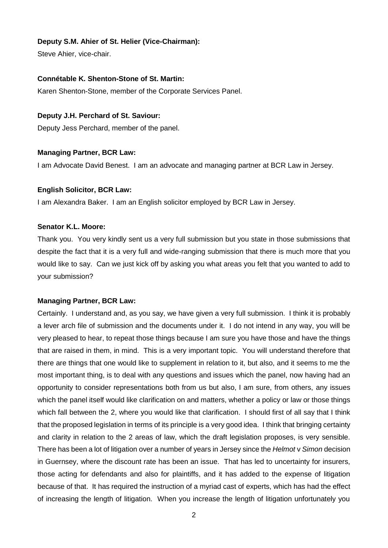## **Deputy S.M. Ahier of St. Helier (Vice-Chairman):**

Steve Ahier, vice-chair.

## **Connétable K. Shenton-Stone of St. Martin:**

Karen Shenton-Stone, member of the Corporate Services Panel.

## **Deputy J.H. Perchard of St. Saviour:**

Deputy Jess Perchard, member of the panel.

## **Managing Partner, BCR Law:**

I am Advocate David Benest. I am an advocate and managing partner at BCR Law in Jersey.

## **English Solicitor, BCR Law:**

I am Alexandra Baker. I am an English solicitor employed by BCR Law in Jersey.

## **Senator K.L. Moore:**

Thank you. You very kindly sent us a very full submission but you state in those submissions that despite the fact that it is a very full and wide-ranging submission that there is much more that you would like to say. Can we just kick off by asking you what areas you felt that you wanted to add to your submission?

## **Managing Partner, BCR Law:**

Certainly. I understand and, as you say, we have given a very full submission. I think it is probably a lever arch file of submission and the documents under it. I do not intend in any way, you will be very pleased to hear, to repeat those things because I am sure you have those and have the things that are raised in them, in mind. This is a very important topic. You will understand therefore that there are things that one would like to supplement in relation to it, but also, and it seems to me the most important thing, is to deal with any questions and issues which the panel, now having had an opportunity to consider representations both from us but also, I am sure, from others, any issues which the panel itself would like clarification on and matters, whether a policy or law or those things which fall between the 2, where you would like that clarification. I should first of all say that I think that the proposed legislation in terms of its principle is a very good idea. I think that bringing certainty and clarity in relation to the 2 areas of law, which the draft legislation proposes, is very sensible. There has been a lot of litigation over a number of years in Jersey since the *Helmot* v *Simon* decision in Guernsey, where the discount rate has been an issue. That has led to uncertainty for insurers, those acting for defendants and also for plaintiffs, and it has added to the expense of litigation because of that. It has required the instruction of a myriad cast of experts, which has had the effect of increasing the length of litigation. When you increase the length of litigation unfortunately you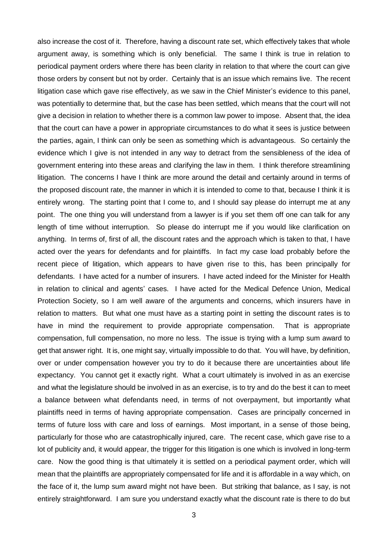also increase the cost of it. Therefore, having a discount rate set, which effectively takes that whole argument away, is something which is only beneficial. The same I think is true in relation to periodical payment orders where there has been clarity in relation to that where the court can give those orders by consent but not by order. Certainly that is an issue which remains live. The recent litigation case which gave rise effectively, as we saw in the Chief Minister's evidence to this panel, was potentially to determine that, but the case has been settled, which means that the court will not give a decision in relation to whether there is a common law power to impose. Absent that, the idea that the court can have a power in appropriate circumstances to do what it sees is justice between the parties, again, I think can only be seen as something which is advantageous. So certainly the evidence which I give is not intended in any way to detract from the sensibleness of the idea of government entering into these areas and clarifying the law in them. I think therefore streamlining litigation. The concerns I have I think are more around the detail and certainly around in terms of the proposed discount rate, the manner in which it is intended to come to that, because I think it is entirely wrong. The starting point that I come to, and I should say please do interrupt me at any point. The one thing you will understand from a lawyer is if you set them off one can talk for any length of time without interruption. So please do interrupt me if you would like clarification on anything. In terms of, first of all, the discount rates and the approach which is taken to that, I have acted over the years for defendants and for plaintiffs. In fact my case load probably before the recent piece of litigation, which appears to have given rise to this, has been principally for defendants. I have acted for a number of insurers. I have acted indeed for the Minister for Health in relation to clinical and agents' cases. I have acted for the Medical Defence Union, Medical Protection Society, so I am well aware of the arguments and concerns, which insurers have in relation to matters. But what one must have as a starting point in setting the discount rates is to have in mind the requirement to provide appropriate compensation. That is appropriate compensation, full compensation, no more no less. The issue is trying with a lump sum award to get that answer right. It is, one might say, virtually impossible to do that. You will have, by definition, over or under compensation however you try to do it because there are uncertainties about life expectancy. You cannot get it exactly right. What a court ultimately is involved in as an exercise and what the legislature should be involved in as an exercise, is to try and do the best it can to meet a balance between what defendants need, in terms of not overpayment, but importantly what plaintiffs need in terms of having appropriate compensation. Cases are principally concerned in terms of future loss with care and loss of earnings. Most important, in a sense of those being, particularly for those who are catastrophically injured, care. The recent case, which gave rise to a lot of publicity and, it would appear, the trigger for this litigation is one which is involved in long-term care. Now the good thing is that ultimately it is settled on a periodical payment order, which will mean that the plaintiffs are appropriately compensated for life and it is affordable in a way which, on the face of it, the lump sum award might not have been. But striking that balance, as I say, is not entirely straightforward. I am sure you understand exactly what the discount rate is there to do but

3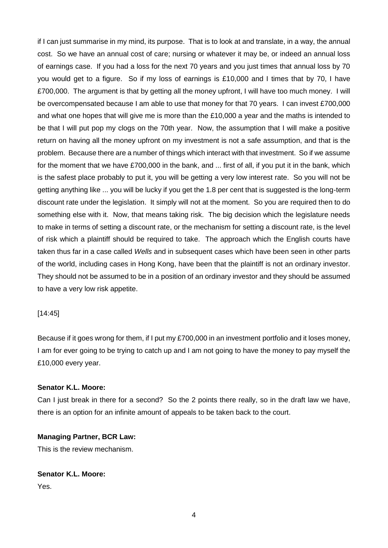if I can just summarise in my mind, its purpose. That is to look at and translate, in a way, the annual cost. So we have an annual cost of care; nursing or whatever it may be, or indeed an annual loss of earnings case. If you had a loss for the next 70 years and you just times that annual loss by 70 you would get to a figure. So if my loss of earnings is £10,000 and I times that by 70, I have £700,000. The argument is that by getting all the money upfront, I will have too much money. I will be overcompensated because I am able to use that money for that 70 years. I can invest £700,000 and what one hopes that will give me is more than the £10,000 a year and the maths is intended to be that I will put pop my clogs on the 70th year. Now, the assumption that I will make a positive return on having all the money upfront on my investment is not a safe assumption, and that is the problem. Because there are a number of things which interact with that investment. So if we assume for the moment that we have £700,000 in the bank, and ... first of all, if you put it in the bank, which is the safest place probably to put it, you will be getting a very low interest rate. So you will not be getting anything like ... you will be lucky if you get the 1.8 per cent that is suggested is the long-term discount rate under the legislation. It simply will not at the moment. So you are required then to do something else with it. Now, that means taking risk. The big decision which the legislature needs to make in terms of setting a discount rate, or the mechanism for setting a discount rate, is the level of risk which a plaintiff should be required to take. The approach which the English courts have taken thus far in a case called *Wells* and in subsequent cases which have been seen in other parts of the world, including cases in Hong Kong, have been that the plaintiff is not an ordinary investor. They should not be assumed to be in a position of an ordinary investor and they should be assumed to have a very low risk appetite.

## [14:45]

Because if it goes wrong for them, if I put my £700,000 in an investment portfolio and it loses money, I am for ever going to be trying to catch up and I am not going to have the money to pay myself the £10,000 every year.

## **Senator K.L. Moore:**

Can I just break in there for a second? So the 2 points there really, so in the draft law we have, there is an option for an infinite amount of appeals to be taken back to the court.

## **Managing Partner, BCR Law:**

This is the review mechanism.

**Senator K.L. Moore:** Yes.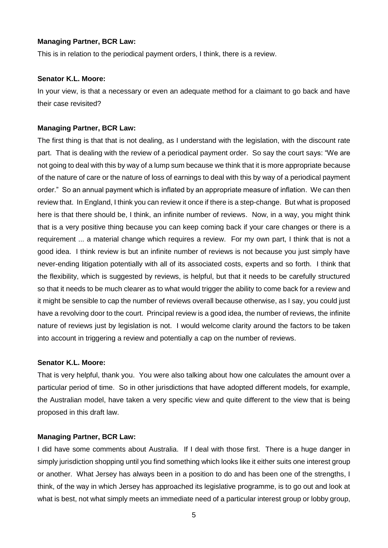## **Managing Partner, BCR Law:**

This is in relation to the periodical payment orders, I think, there is a review.

#### **Senator K.L. Moore:**

In your view, is that a necessary or even an adequate method for a claimant to go back and have their case revisited?

## **Managing Partner, BCR Law:**

The first thing is that that is not dealing, as I understand with the legislation, with the discount rate part. That is dealing with the review of a periodical payment order. So say the court says: "We are not going to deal with this by way of a lump sum because we think that it is more appropriate because of the nature of care or the nature of loss of earnings to deal with this by way of a periodical payment order." So an annual payment which is inflated by an appropriate measure of inflation. We can then review that. In England, I think you can review it once if there is a step-change. But what is proposed here is that there should be, I think, an infinite number of reviews. Now, in a way, you might think that is a very positive thing because you can keep coming back if your care changes or there is a requirement ... a material change which requires a review. For my own part, I think that is not a good idea. I think review is but an infinite number of reviews is not because you just simply have never-ending litigation potentially with all of its associated costs, experts and so forth. I think that the flexibility, which is suggested by reviews, is helpful, but that it needs to be carefully structured so that it needs to be much clearer as to what would trigger the ability to come back for a review and it might be sensible to cap the number of reviews overall because otherwise, as I say, you could just have a revolving door to the court. Principal review is a good idea, the number of reviews, the infinite nature of reviews just by legislation is not. I would welcome clarity around the factors to be taken into account in triggering a review and potentially a cap on the number of reviews.

#### **Senator K.L. Moore:**

That is very helpful, thank you. You were also talking about how one calculates the amount over a particular period of time. So in other jurisdictions that have adopted different models, for example, the Australian model, have taken a very specific view and quite different to the view that is being proposed in this draft law.

#### **Managing Partner, BCR Law:**

I did have some comments about Australia. If I deal with those first. There is a huge danger in simply jurisdiction shopping until you find something which looks like it either suits one interest group or another. What Jersey has always been in a position to do and has been one of the strengths, I think, of the way in which Jersey has approached its legislative programme, is to go out and look at what is best, not what simply meets an immediate need of a particular interest group or lobby group,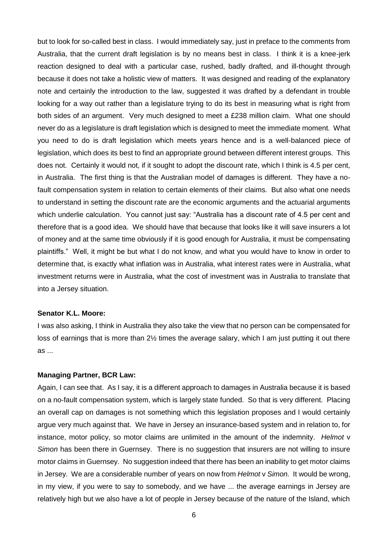but to look for so-called best in class. I would immediately say, just in preface to the comments from Australia, that the current draft legislation is by no means best in class. I think it is a knee-jerk reaction designed to deal with a particular case, rushed, badly drafted, and ill-thought through because it does not take a holistic view of matters. It was designed and reading of the explanatory note and certainly the introduction to the law, suggested it was drafted by a defendant in trouble looking for a way out rather than a legislature trying to do its best in measuring what is right from both sides of an argument. Very much designed to meet a £238 million claim. What one should never do as a legislature is draft legislation which is designed to meet the immediate moment. What you need to do is draft legislation which meets years hence and is a well-balanced piece of legislation, which does its best to find an appropriate ground between different interest groups. This does not. Certainly it would not, if it sought to adopt the discount rate, which I think is 4.5 per cent, in Australia. The first thing is that the Australian model of damages is different. They have a nofault compensation system in relation to certain elements of their claims. But also what one needs to understand in setting the discount rate are the economic arguments and the actuarial arguments which underlie calculation. You cannot just say: "Australia has a discount rate of 4.5 per cent and therefore that is a good idea. We should have that because that looks like it will save insurers a lot of money and at the same time obviously if it is good enough for Australia, it must be compensating plaintiffs." Well, it might be but what I do not know, and what you would have to know in order to determine that, is exactly what inflation was in Australia, what interest rates were in Australia, what investment returns were in Australia, what the cost of investment was in Australia to translate that into a Jersey situation.

#### **Senator K.L. Moore:**

I was also asking, I think in Australia they also take the view that no person can be compensated for loss of earnings that is more than 2½ times the average salary, which I am just putting it out there as ...

## **Managing Partner, BCR Law:**

Again, I can see that. As I say, it is a different approach to damages in Australia because it is based on a no-fault compensation system, which is largely state funded. So that is very different. Placing an overall cap on damages is not something which this legislation proposes and I would certainly argue very much against that. We have in Jersey an insurance-based system and in relation to, for instance, motor policy, so motor claims are unlimited in the amount of the indemnity. *Helmot* v *Simon* has been there in Guernsey. There is no suggestion that insurers are not willing to insure motor claims in Guernsey. No suggestion indeed that there has been an inability to get motor claims in Jersey. We are a considerable number of years on now from *Helmot* v *Simon.* It would be wrong, in my view, if you were to say to somebody, and we have ... the average earnings in Jersey are relatively high but we also have a lot of people in Jersey because of the nature of the Island, which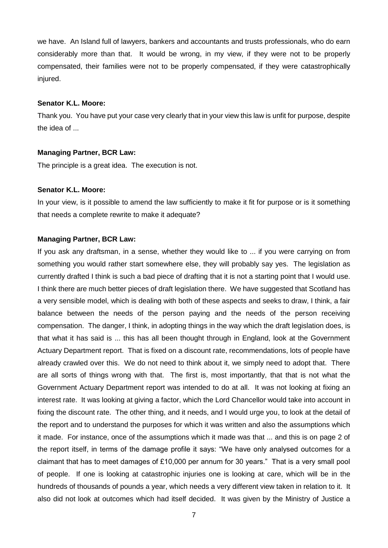we have. An Island full of lawyers, bankers and accountants and trusts professionals, who do earn considerably more than that. It would be wrong, in my view, if they were not to be properly compensated, their families were not to be properly compensated, if they were catastrophically injured.

## **Senator K.L. Moore:**

Thank you. You have put your case very clearly that in your view this law is unfit for purpose, despite the idea of ...

## **Managing Partner, BCR Law:**

The principle is a great idea. The execution is not.

#### **Senator K.L. Moore:**

In your view, is it possible to amend the law sufficiently to make it fit for purpose or is it something that needs a complete rewrite to make it adequate?

## **Managing Partner, BCR Law:**

If you ask any draftsman, in a sense, whether they would like to ... if you were carrying on from something you would rather start somewhere else, they will probably say yes. The legislation as currently drafted I think is such a bad piece of drafting that it is not a starting point that I would use. I think there are much better pieces of draft legislation there. We have suggested that Scotland has a very sensible model, which is dealing with both of these aspects and seeks to draw, I think, a fair balance between the needs of the person paying and the needs of the person receiving compensation. The danger, I think, in adopting things in the way which the draft legislation does, is that what it has said is ... this has all been thought through in England, look at the Government Actuary Department report. That is fixed on a discount rate, recommendations, lots of people have already crawled over this. We do not need to think about it, we simply need to adopt that. There are all sorts of things wrong with that. The first is, most importantly, that that is not what the Government Actuary Department report was intended to do at all. It was not looking at fixing an interest rate. It was looking at giving a factor, which the Lord Chancellor would take into account in fixing the discount rate. The other thing, and it needs, and I would urge you, to look at the detail of the report and to understand the purposes for which it was written and also the assumptions which it made. For instance, once of the assumptions which it made was that ... and this is on page 2 of the report itself, in terms of the damage profile it says: "We have only analysed outcomes for a claimant that has to meet damages of £10,000 per annum for 30 years." That is a very small pool of people. If one is looking at catastrophic injuries one is looking at care, which will be in the hundreds of thousands of pounds a year, which needs a very different view taken in relation to it. It also did not look at outcomes which had itself decided. It was given by the Ministry of Justice a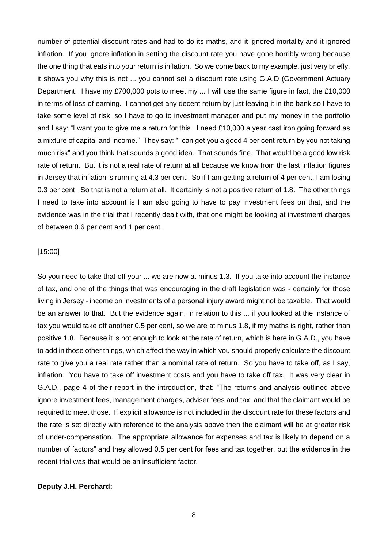number of potential discount rates and had to do its maths, and it ignored mortality and it ignored inflation. If you ignore inflation in setting the discount rate you have gone horribly wrong because the one thing that eats into your return is inflation. So we come back to my example, just very briefly, it shows you why this is not ... you cannot set a discount rate using G.A.D (Government Actuary Department. I have my £700,000 pots to meet my ... I will use the same figure in fact, the £10,000 in terms of loss of earning. I cannot get any decent return by just leaving it in the bank so I have to take some level of risk, so I have to go to investment manager and put my money in the portfolio and I say: "I want you to give me a return for this. I need £10,000 a year cast iron going forward as a mixture of capital and income." They say: "I can get you a good 4 per cent return by you not taking much risk" and you think that sounds a good idea. That sounds fine. That would be a good low risk rate of return. But it is not a real rate of return at all because we know from the last inflation figures in Jersey that inflation is running at 4.3 per cent. So if I am getting a return of 4 per cent, I am losing 0.3 per cent. So that is not a return at all. It certainly is not a positive return of 1.8. The other things I need to take into account is I am also going to have to pay investment fees on that, and the evidence was in the trial that I recently dealt with, that one might be looking at investment charges of between 0.6 per cent and 1 per cent.

#### [15:00]

So you need to take that off your ... we are now at minus 1.3. If you take into account the instance of tax, and one of the things that was encouraging in the draft legislation was - certainly for those living in Jersey - income on investments of a personal injury award might not be taxable. That would be an answer to that. But the evidence again, in relation to this ... if you looked at the instance of tax you would take off another 0.5 per cent, so we are at minus 1.8, if my maths is right, rather than positive 1.8. Because it is not enough to look at the rate of return, which is here in G.A.D., you have to add in those other things, which affect the way in which you should properly calculate the discount rate to give you a real rate rather than a nominal rate of return. So you have to take off, as I say, inflation. You have to take off investment costs and you have to take off tax. It was very clear in G.A.D., page 4 of their report in the introduction, that: "The returns and analysis outlined above ignore investment fees, management charges, adviser fees and tax, and that the claimant would be required to meet those. If explicit allowance is not included in the discount rate for these factors and the rate is set directly with reference to the analysis above then the claimant will be at greater risk of under-compensation. The appropriate allowance for expenses and tax is likely to depend on a number of factors" and they allowed 0.5 per cent for fees and tax together, but the evidence in the recent trial was that would be an insufficient factor.

#### **Deputy J.H. Perchard:**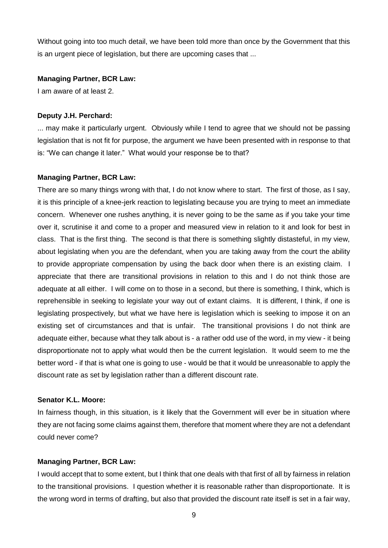Without going into too much detail, we have been told more than once by the Government that this is an urgent piece of legislation, but there are upcoming cases that ...

## **Managing Partner, BCR Law:**

I am aware of at least 2.

#### **Deputy J.H. Perchard:**

... may make it particularly urgent. Obviously while I tend to agree that we should not be passing legislation that is not fit for purpose, the argument we have been presented with in response to that is: "We can change it later." What would your response be to that?

## **Managing Partner, BCR Law:**

There are so many things wrong with that, I do not know where to start. The first of those, as I say, it is this principle of a knee-jerk reaction to legislating because you are trying to meet an immediate concern. Whenever one rushes anything, it is never going to be the same as if you take your time over it, scrutinise it and come to a proper and measured view in relation to it and look for best in class. That is the first thing. The second is that there is something slightly distasteful, in my view, about legislating when you are the defendant, when you are taking away from the court the ability to provide appropriate compensation by using the back door when there is an existing claim. I appreciate that there are transitional provisions in relation to this and I do not think those are adequate at all either. I will come on to those in a second, but there is something, I think, which is reprehensible in seeking to legislate your way out of extant claims. It is different, I think, if one is legislating prospectively, but what we have here is legislation which is seeking to impose it on an existing set of circumstances and that is unfair. The transitional provisions I do not think are adequate either, because what they talk about is - a rather odd use of the word, in my view - it being disproportionate not to apply what would then be the current legislation. It would seem to me the better word - if that is what one is going to use - would be that it would be unreasonable to apply the discount rate as set by legislation rather than a different discount rate.

## **Senator K.L. Moore:**

In fairness though, in this situation, is it likely that the Government will ever be in situation where they are not facing some claims against them, therefore that moment where they are not a defendant could never come?

#### **Managing Partner, BCR Law:**

I would accept that to some extent, but I think that one deals with that first of all by fairness in relation to the transitional provisions. I question whether it is reasonable rather than disproportionate. It is the wrong word in terms of drafting, but also that provided the discount rate itself is set in a fair way,

9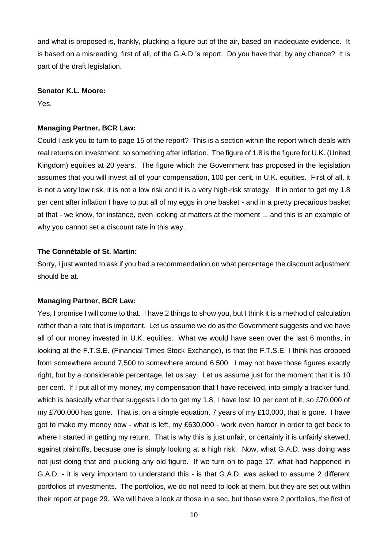and what is proposed is, frankly, plucking a figure out of the air, based on inadequate evidence. It is based on a misreading, first of all, of the G.A.D.'s report. Do you have that, by any chance? It is part of the draft legislation.

#### **Senator K.L. Moore:**

Yes.

## **Managing Partner, BCR Law:**

Could I ask you to turn to page 15 of the report? This is a section within the report which deals with real returns on investment, so something after inflation. The figure of 1.8 is the figure for U.K. (United Kingdom) equities at 20 years. The figure which the Government has proposed in the legislation assumes that you will invest all of your compensation, 100 per cent, in U.K. equities. First of all, it is not a very low risk, it is not a low risk and it is a very high-risk strategy. If in order to get my 1.8 per cent after inflation I have to put all of my eggs in one basket - and in a pretty precarious basket at that - we know, for instance, even looking at matters at the moment ... and this is an example of why you cannot set a discount rate in this way.

#### **The Connétable of St. Martin:**

Sorry, I just wanted to ask if you had a recommendation on what percentage the discount adjustment should be at.

#### **Managing Partner, BCR Law:**

Yes, I promise I will come to that. I have 2 things to show you, but I think it is a method of calculation rather than a rate that is important. Let us assume we do as the Government suggests and we have all of our money invested in U.K. equities. What we would have seen over the last 6 months, in looking at the F.T.S.E. (Financial Times Stock Exchange), is that the F.T.S.E. I think has dropped from somewhere around 7,500 to somewhere around 6,500. I may not have those figures exactly right, but by a considerable percentage, let us say. Let us assume just for the moment that it is 10 per cent. If I put all of my money, my compensation that I have received, into simply a tracker fund, which is basically what that suggests I do to get my 1.8, I have lost 10 per cent of it, so £70,000 of my £700,000 has gone. That is, on a simple equation, 7 years of my £10,000, that is gone. I have got to make my money now - what is left, my £630,000 - work even harder in order to get back to where I started in getting my return. That is why this is just unfair, or certainly it is unfairly skewed, against plaintiffs, because one is simply looking at a high risk. Now, what G.A.D. was doing was not just doing that and plucking any old figure. If we turn on to page 17, what had happened in G.A.D. - it is very important to understand this - is that G.A.D. was asked to assume 2 different portfolios of investments. The portfolios, we do not need to look at them, but they are set out within their report at page 29. We will have a look at those in a sec, but those were 2 portfolios, the first of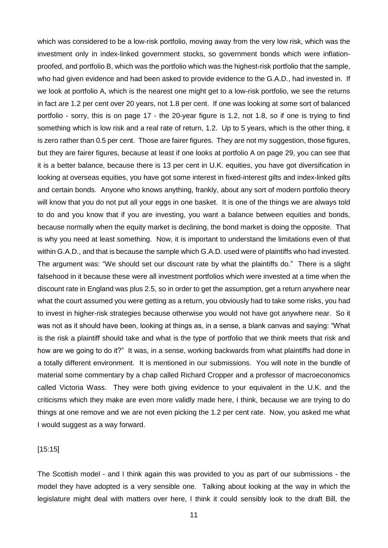which was considered to be a low-risk portfolio, moving away from the very low risk, which was the investment only in index-linked government stocks, so government bonds which were inflationproofed, and portfolio B, which was the portfolio which was the highest-risk portfolio that the sample, who had given evidence and had been asked to provide evidence to the G.A.D., had invested in. If we look at portfolio A, which is the nearest one might get to a low-risk portfolio, we see the returns in fact are 1.2 per cent over 20 years, not 1.8 per cent. If one was looking at some sort of balanced portfolio - sorry, this is on page 17 - the 20-year figure is 1.2, not 1.8, so if one is trying to find something which is low risk and a real rate of return, 1.2. Up to 5 years, which is the other thing, it is zero rather than 0.5 per cent. Those are fairer figures. They are not my suggestion, those figures, but they are fairer figures, because at least if one looks at portfolio A on page 29, you can see that it is a better balance, because there is 13 per cent in U.K. equities, you have got diversification in looking at overseas equities, you have got some interest in fixed-interest gilts and index-linked gilts and certain bonds. Anyone who knows anything, frankly, about any sort of modern portfolio theory will know that you do not put all your eggs in one basket. It is one of the things we are always told to do and you know that if you are investing, you want a balance between equities and bonds, because normally when the equity market is declining, the bond market is doing the opposite. That is why you need at least something. Now, it is important to understand the limitations even of that within G.A.D., and that is because the sample which G.A.D. used were of plaintiffs who had invested. The argument was: "We should set our discount rate by what the plaintiffs do." There is a slight falsehood in it because these were all investment portfolios which were invested at a time when the discount rate in England was plus 2.5, so in order to get the assumption, get a return anywhere near what the court assumed you were getting as a return, you obviously had to take some risks, you had to invest in higher-risk strategies because otherwise you would not have got anywhere near. So it was not as it should have been, looking at things as, in a sense, a blank canvas and saying: "What is the risk a plaintiff should take and what is the type of portfolio that we think meets that risk and how are we going to do it?" It was, in a sense, working backwards from what plaintiffs had done in a totally different environment. It is mentioned in our submissions. You will note in the bundle of material some commentary by a chap called Richard Cropper and a professor of macroeconomics called Victoria Wass. They were both giving evidence to your equivalent in the U.K. and the criticisms which they make are even more validly made here, I think, because we are trying to do things at one remove and we are not even picking the 1.2 per cent rate. Now, you asked me what I would suggest as a way forward.

## [15:15]

The Scottish model - and I think again this was provided to you as part of our submissions - the model they have adopted is a very sensible one. Talking about looking at the way in which the legislature might deal with matters over here, I think it could sensibly look to the draft Bill, the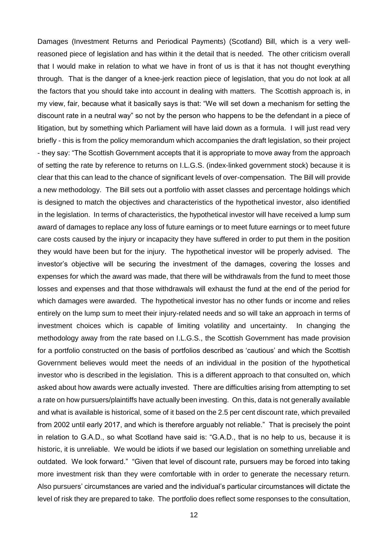Damages (Investment Returns and Periodical Payments) (Scotland) Bill, which is a very wellreasoned piece of legislation and has within it the detail that is needed. The other criticism overall that I would make in relation to what we have in front of us is that it has not thought everything through. That is the danger of a knee-jerk reaction piece of legislation, that you do not look at all the factors that you should take into account in dealing with matters. The Scottish approach is, in my view, fair, because what it basically says is that: "We will set down a mechanism for setting the discount rate in a neutral way" so not by the person who happens to be the defendant in a piece of litigation, but by something which Parliament will have laid down as a formula. I will just read very briefly - this is from the policy memorandum which accompanies the draft legislation, so their project - they say: "The Scottish Government accepts that it is appropriate to move away from the approach of setting the rate by reference to returns on I.L.G.S. (index-linked government stock) because it is clear that this can lead to the chance of significant levels of over-compensation. The Bill will provide a new methodology. The Bill sets out a portfolio with asset classes and percentage holdings which is designed to match the objectives and characteristics of the hypothetical investor, also identified in the legislation. In terms of characteristics, the hypothetical investor will have received a lump sum award of damages to replace any loss of future earnings or to meet future earnings or to meet future care costs caused by the injury or incapacity they have suffered in order to put them in the position they would have been but for the injury. The hypothetical investor will be properly advised. The investor's objective will be securing the investment of the damages, covering the losses and expenses for which the award was made, that there will be withdrawals from the fund to meet those losses and expenses and that those withdrawals will exhaust the fund at the end of the period for which damages were awarded. The hypothetical investor has no other funds or income and relies entirely on the lump sum to meet their injury-related needs and so will take an approach in terms of investment choices which is capable of limiting volatility and uncertainty. In changing the methodology away from the rate based on I.L.G.S., the Scottish Government has made provision for a portfolio constructed on the basis of portfolios described as 'cautious' and which the Scottish Government believes would meet the needs of an individual in the position of the hypothetical investor who is described in the legislation. This is a different approach to that consulted on, which asked about how awards were actually invested. There are difficulties arising from attempting to set a rate on how pursuers/plaintiffs have actually been investing. On this, data is not generally available and what is available is historical, some of it based on the 2.5 per cent discount rate, which prevailed from 2002 until early 2017, and which is therefore arguably not reliable." That is precisely the point in relation to G.A.D., so what Scotland have said is: "G.A.D., that is no help to us, because it is historic, it is unreliable. We would be idiots if we based our legislation on something unreliable and outdated. We look forward." "Given that level of discount rate, pursuers may be forced into taking more investment risk than they were comfortable with in order to generate the necessary return. Also pursuers' circumstances are varied and the individual's particular circumstances will dictate the level of risk they are prepared to take. The portfolio does reflect some responses to the consultation,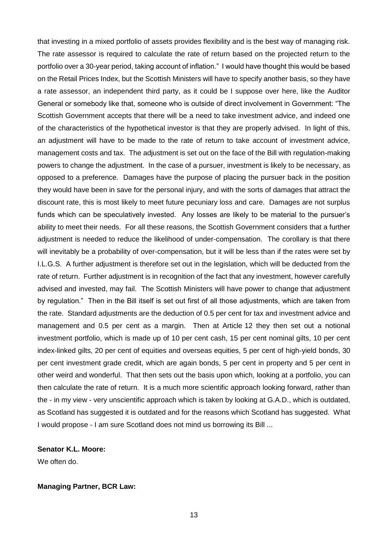that investing in a mixed portfolio of assets provides flexibility and is the best way of managing risk. The rate assessor is required to calculate the rate of return based on the projected return to the portfolio over a 30-year period, taking account of inflation." I would have thought this would be based on the Retail Prices Index, but the Scottish Ministers will have to specify another basis, so they have a rate assessor, an independent third party, as it could be I suppose over here, like the Auditor General or somebody like that, someone who is outside of direct involvement in Government: "The Scottish Government accepts that there will be a need to take investment advice, and indeed one of the characteristics of the hypothetical investor is that they are properly advised. In light of this, an adjustment will have to be made to the rate of return to take account of investment advice, management costs and tax. The adjustment is set out on the face of the Bill with regulation-making powers to change the adjustment. In the case of a pursuer, investment is likely to be necessary, as opposed to a preference. Damages have the purpose of placing the pursuer back in the position they would have been in save for the personal injury, and with the sorts of damages that attract the discount rate, this is most likely to meet future pecuniary loss and care. Damages are not surplus funds which can be speculatively invested. Any losses are likely to be material to the pursuer's ability to meet their needs. For all these reasons, the Scottish Government considers that a further adjustment is needed to reduce the likelihood of under-compensation. The corollary is that there will inevitably be a probability of over-compensation, but it will be less than if the rates were set by I.L.G.S. A further adjustment is therefore set out in the legislation, which will be deducted from the rate of return. Further adjustment is in recognition of the fact that any investment, however carefully advised and invested, may fail. The Scottish Ministers will have power to change that adjustment by regulation." Then in the Bill itself is set out first of all those adjustments, which are taken from the rate. Standard adjustments are the deduction of 0.5 per cent for tax and investment advice and management and 0.5 per cent as a margin. Then at Article 12 they then set out a notional investment portfolio, which is made up of 10 per cent cash, 15 per cent nominal gilts, 10 per cent index-linked gilts, 20 per cent of equities and overseas equities, 5 per cent of high-yield bonds, 30 per cent investment grade credit, which are again bonds, 5 per cent in property and 5 per cent in other weird and wonderful. That then sets out the basis upon which, looking at a portfolio, you can then calculate the rate of return. It is a much more scientific approach looking forward, rather than the - in my view - very unscientific approach which is taken by looking at G.A.D., which is outdated, as Scotland has suggested it is outdated and for the reasons which Scotland has suggested. What I would propose - I am sure Scotland does not mind us borrowing its Bill ...

**Senator K.L. Moore:**

We often do.

## **Managing Partner, BCR Law:**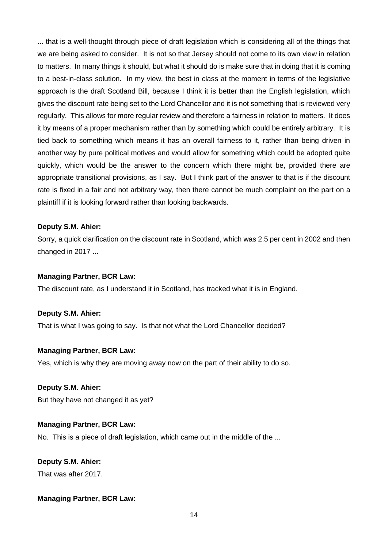... that is a well-thought through piece of draft legislation which is considering all of the things that we are being asked to consider. It is not so that Jersey should not come to its own view in relation to matters. In many things it should, but what it should do is make sure that in doing that it is coming to a best-in-class solution. In my view, the best in class at the moment in terms of the legislative approach is the draft Scotland Bill, because I think it is better than the English legislation, which gives the discount rate being set to the Lord Chancellor and it is not something that is reviewed very regularly. This allows for more regular review and therefore a fairness in relation to matters. It does it by means of a proper mechanism rather than by something which could be entirely arbitrary. It is tied back to something which means it has an overall fairness to it, rather than being driven in another way by pure political motives and would allow for something which could be adopted quite quickly, which would be the answer to the concern which there might be, provided there are appropriate transitional provisions, as I say. But I think part of the answer to that is if the discount rate is fixed in a fair and not arbitrary way, then there cannot be much complaint on the part on a plaintiff if it is looking forward rather than looking backwards.

## **Deputy S.M. Ahier:**

Sorry, a quick clarification on the discount rate in Scotland, which was 2.5 per cent in 2002 and then changed in 2017 ...

#### **Managing Partner, BCR Law:**

The discount rate, as I understand it in Scotland, has tracked what it is in England.

#### **Deputy S.M. Ahier:**

That is what I was going to say. Is that not what the Lord Chancellor decided?

#### **Managing Partner, BCR Law:**

Yes, which is why they are moving away now on the part of their ability to do so.

#### **Deputy S.M. Ahier:**

But they have not changed it as yet?

## **Managing Partner, BCR Law:**

No. This is a piece of draft legislation, which came out in the middle of the ...

#### **Deputy S.M. Ahier:**

That was after 2017.

#### **Managing Partner, BCR Law:**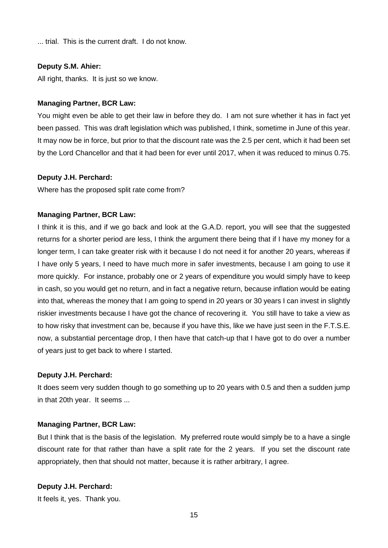... trial. This is the current draft. I do not know.

#### **Deputy S.M. Ahier:**

All right, thanks. It is just so we know.

## **Managing Partner, BCR Law:**

You might even be able to get their law in before they do. I am not sure whether it has in fact yet been passed. This was draft legislation which was published, I think, sometime in June of this year. It may now be in force, but prior to that the discount rate was the 2.5 per cent, which it had been set by the Lord Chancellor and that it had been for ever until 2017, when it was reduced to minus 0.75.

#### **Deputy J.H. Perchard:**

Where has the proposed split rate come from?

## **Managing Partner, BCR Law:**

I think it is this, and if we go back and look at the G.A.D. report, you will see that the suggested returns for a shorter period are less, I think the argument there being that if I have my money for a longer term, I can take greater risk with it because I do not need it for another 20 years, whereas if I have only 5 years, I need to have much more in safer investments, because I am going to use it more quickly. For instance, probably one or 2 years of expenditure you would simply have to keep in cash, so you would get no return, and in fact a negative return, because inflation would be eating into that, whereas the money that I am going to spend in 20 years or 30 years I can invest in slightly riskier investments because I have got the chance of recovering it. You still have to take a view as to how risky that investment can be, because if you have this, like we have just seen in the F.T.S.E. now, a substantial percentage drop, I then have that catch-up that I have got to do over a number of years just to get back to where I started.

## **Deputy J.H. Perchard:**

It does seem very sudden though to go something up to 20 years with 0.5 and then a sudden jump in that 20th year. It seems ...

## **Managing Partner, BCR Law:**

But I think that is the basis of the legislation. My preferred route would simply be to a have a single discount rate for that rather than have a split rate for the 2 years. If you set the discount rate appropriately, then that should not matter, because it is rather arbitrary, I agree.

#### **Deputy J.H. Perchard:**

It feels it, yes. Thank you.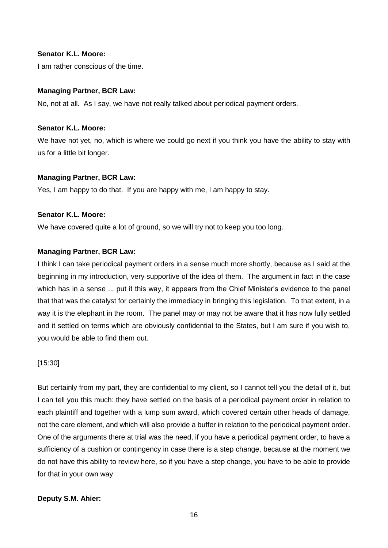## **Senator K.L. Moore:**

I am rather conscious of the time.

## **Managing Partner, BCR Law:**

No, not at all. As I say, we have not really talked about periodical payment orders.

## **Senator K.L. Moore:**

We have not yet, no, which is where we could go next if you think you have the ability to stay with us for a little bit longer.

## **Managing Partner, BCR Law:**

Yes, I am happy to do that. If you are happy with me, I am happy to stay.

## **Senator K.L. Moore:**

We have covered quite a lot of ground, so we will try not to keep you too long.

## **Managing Partner, BCR Law:**

I think I can take periodical payment orders in a sense much more shortly, because as I said at the beginning in my introduction, very supportive of the idea of them. The argument in fact in the case which has in a sense ... put it this way, it appears from the Chief Minister's evidence to the panel that that was the catalyst for certainly the immediacy in bringing this legislation. To that extent, in a way it is the elephant in the room. The panel may or may not be aware that it has now fully settled and it settled on terms which are obviously confidential to the States, but I am sure if you wish to, you would be able to find them out.

## [15:30]

But certainly from my part, they are confidential to my client, so I cannot tell you the detail of it, but I can tell you this much: they have settled on the basis of a periodical payment order in relation to each plaintiff and together with a lump sum award, which covered certain other heads of damage, not the care element, and which will also provide a buffer in relation to the periodical payment order. One of the arguments there at trial was the need, if you have a periodical payment order, to have a sufficiency of a cushion or contingency in case there is a step change, because at the moment we do not have this ability to review here, so if you have a step change, you have to be able to provide for that in your own way.

## **Deputy S.M. Ahier:**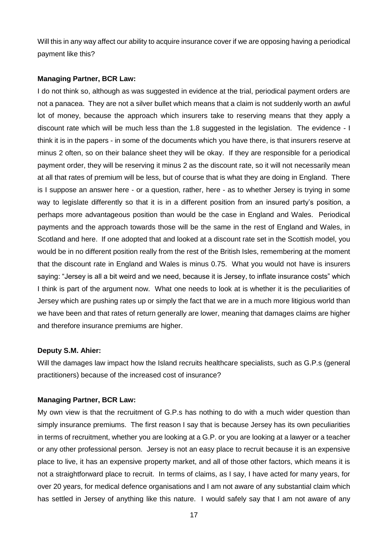Will this in any way affect our ability to acquire insurance cover if we are opposing having a periodical payment like this?

## **Managing Partner, BCR Law:**

I do not think so, although as was suggested in evidence at the trial, periodical payment orders are not a panacea. They are not a silver bullet which means that a claim is not suddenly worth an awful lot of money, because the approach which insurers take to reserving means that they apply a discount rate which will be much less than the 1.8 suggested in the legislation. The evidence - I think it is in the papers - in some of the documents which you have there, is that insurers reserve at minus 2 often, so on their balance sheet they will be okay. If they are responsible for a periodical payment order, they will be reserving it minus 2 as the discount rate, so it will not necessarily mean at all that rates of premium will be less, but of course that is what they are doing in England. There is I suppose an answer here - or a question, rather, here - as to whether Jersey is trying in some way to legislate differently so that it is in a different position from an insured party's position, a perhaps more advantageous position than would be the case in England and Wales. Periodical payments and the approach towards those will be the same in the rest of England and Wales, in Scotland and here. If one adopted that and looked at a discount rate set in the Scottish model, you would be in no different position really from the rest of the British Isles, remembering at the moment that the discount rate in England and Wales is minus 0.75. What you would not have is insurers saying: "Jersey is all a bit weird and we need, because it is Jersey, to inflate insurance costs" which I think is part of the argument now. What one needs to look at is whether it is the peculiarities of Jersey which are pushing rates up or simply the fact that we are in a much more litigious world than we have been and that rates of return generally are lower, meaning that damages claims are higher and therefore insurance premiums are higher.

#### **Deputy S.M. Ahier:**

Will the damages law impact how the Island recruits healthcare specialists, such as G.P.s (general practitioners) because of the increased cost of insurance?

## **Managing Partner, BCR Law:**

My own view is that the recruitment of G.P.s has nothing to do with a much wider question than simply insurance premiums. The first reason I say that is because Jersey has its own peculiarities in terms of recruitment, whether you are looking at a G.P. or you are looking at a lawyer or a teacher or any other professional person. Jersey is not an easy place to recruit because it is an expensive place to live, it has an expensive property market, and all of those other factors, which means it is not a straightforward place to recruit. In terms of claims, as I say, I have acted for many years, for over 20 years, for medical defence organisations and I am not aware of any substantial claim which has settled in Jersey of anything like this nature. I would safely say that I am not aware of any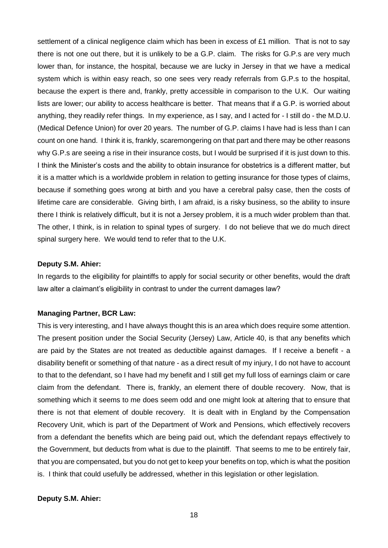settlement of a clinical negligence claim which has been in excess of £1 million. That is not to say there is not one out there, but it is unlikely to be a G.P. claim. The risks for G.P.s are very much lower than, for instance, the hospital, because we are lucky in Jersey in that we have a medical system which is within easy reach, so one sees very ready referrals from G.P.s to the hospital, because the expert is there and, frankly, pretty accessible in comparison to the U.K. Our waiting lists are lower; our ability to access healthcare is better. That means that if a G.P. is worried about anything, they readily refer things. In my experience, as I say, and I acted for - I still do - the M.D.U. (Medical Defence Union) for over 20 years. The number of G.P. claims I have had is less than I can count on one hand. I think it is, frankly, scaremongering on that part and there may be other reasons why G.P.s are seeing a rise in their insurance costs, but I would be surprised if it is just down to this. I think the Minister's costs and the ability to obtain insurance for obstetrics is a different matter, but it is a matter which is a worldwide problem in relation to getting insurance for those types of claims, because if something goes wrong at birth and you have a cerebral palsy case, then the costs of lifetime care are considerable. Giving birth, I am afraid, is a risky business, so the ability to insure there I think is relatively difficult, but it is not a Jersey problem, it is a much wider problem than that. The other, I think, is in relation to spinal types of surgery. I do not believe that we do much direct spinal surgery here. We would tend to refer that to the U.K.

#### **Deputy S.M. Ahier:**

In regards to the eligibility for plaintiffs to apply for social security or other benefits, would the draft law alter a claimant's eligibility in contrast to under the current damages law?

## **Managing Partner, BCR Law:**

This is very interesting, and I have always thought this is an area which does require some attention. The present position under the Social Security (Jersey) Law, Article 40, is that any benefits which are paid by the States are not treated as deductible against damages. If I receive a benefit - a disability benefit or something of that nature - as a direct result of my injury, I do not have to account to that to the defendant, so I have had my benefit and I still get my full loss of earnings claim or care claim from the defendant. There is, frankly, an element there of double recovery. Now, that is something which it seems to me does seem odd and one might look at altering that to ensure that there is not that element of double recovery. It is dealt with in England by the Compensation Recovery Unit, which is part of the Department of Work and Pensions, which effectively recovers from a defendant the benefits which are being paid out, which the defendant repays effectively to the Government, but deducts from what is due to the plaintiff. That seems to me to be entirely fair, that you are compensated, but you do not get to keep your benefits on top, which is what the position is. I think that could usefully be addressed, whether in this legislation or other legislation.

#### **Deputy S.M. Ahier:**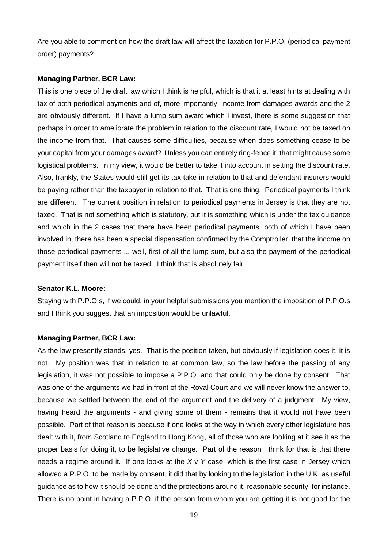Are you able to comment on how the draft law will affect the taxation for P.P.O. (periodical payment order) payments?

## **Managing Partner, BCR Law:**

This is one piece of the draft law which I think is helpful, which is that it at least hints at dealing with tax of both periodical payments and of, more importantly, income from damages awards and the 2 are obviously different. If I have a lump sum award which I invest, there is some suggestion that perhaps in order to ameliorate the problem in relation to the discount rate, I would not be taxed on the income from that. That causes some difficulties, because when does something cease to be your capital from your damages award? Unless you can entirely ring-fence it, that might cause some logistical problems. In my view, it would be better to take it into account in setting the discount rate. Also, frankly, the States would still get its tax take in relation to that and defendant insurers would be paying rather than the taxpayer in relation to that. That is one thing. Periodical payments I think are different. The current position in relation to periodical payments in Jersey is that they are not taxed. That is not something which is statutory, but it is something which is under the tax guidance and which in the 2 cases that there have been periodical payments, both of which I have been involved in, there has been a special dispensation confirmed by the Comptroller, that the income on those periodical payments ... well, first of all the lump sum, but also the payment of the periodical payment itself then will not be taxed. I think that is absolutely fair.

## **Senator K.L. Moore:**

Staying with P.P.O.s, if we could, in your helpful submissions you mention the imposition of P.P.O.s and I think you suggest that an imposition would be unlawful.

## **Managing Partner, BCR Law:**

As the law presently stands, yes. That is the position taken, but obviously if legislation does it, it is not. My position was that in relation to at common law, so the law before the passing of any legislation, it was not possible to impose a P.P.O. and that could only be done by consent. That was one of the arguments we had in front of the Royal Court and we will never know the answer to, because we settled between the end of the argument and the delivery of a judgment. My view, having heard the arguments - and giving some of them - remains that it would not have been possible. Part of that reason is because if one looks at the way in which every other legislature has dealt with it, from Scotland to England to Hong Kong, all of those who are looking at it see it as the proper basis for doing it, to be legislative change. Part of the reason I think for that is that there needs a regime around it. If one looks at the *X* v *Y* case, which is the first case in Jersey which allowed a P.P.O. to be made by consent, it did that by looking to the legislation in the U.K. as useful guidance as to how it should be done and the protections around it, reasonable security, for instance. There is no point in having a P.P.O. if the person from whom you are getting it is not good for the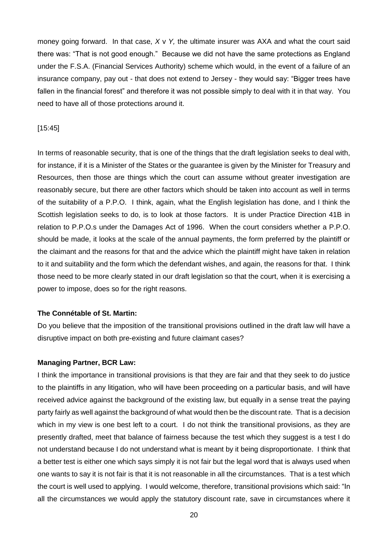money going forward. In that case, *X* v *Y,* the ultimate insurer was AXA and what the court said there was: "That is not good enough." Because we did not have the same protections as England under the F.S.A. (Financial Services Authority) scheme which would, in the event of a failure of an insurance company, pay out - that does not extend to Jersey - they would say: "Bigger trees have fallen in the financial forest" and therefore it was not possible simply to deal with it in that way. You need to have all of those protections around it.

## [15:45]

In terms of reasonable security, that is one of the things that the draft legislation seeks to deal with, for instance, if it is a Minister of the States or the guarantee is given by the Minister for Treasury and Resources, then those are things which the court can assume without greater investigation are reasonably secure, but there are other factors which should be taken into account as well in terms of the suitability of a P.P.O. I think, again, what the English legislation has done, and I think the Scottish legislation seeks to do, is to look at those factors. It is under Practice Direction 41B in relation to P.P.O.s under the Damages Act of 1996. When the court considers whether a P.P.O. should be made, it looks at the scale of the annual payments, the form preferred by the plaintiff or the claimant and the reasons for that and the advice which the plaintiff might have taken in relation to it and suitability and the form which the defendant wishes, and again, the reasons for that. I think those need to be more clearly stated in our draft legislation so that the court, when it is exercising a power to impose, does so for the right reasons.

#### **The Connétable of St. Martin:**

Do you believe that the imposition of the transitional provisions outlined in the draft law will have a disruptive impact on both pre-existing and future claimant cases?

#### **Managing Partner, BCR Law:**

I think the importance in transitional provisions is that they are fair and that they seek to do justice to the plaintiffs in any litigation, who will have been proceeding on a particular basis, and will have received advice against the background of the existing law, but equally in a sense treat the paying party fairly as well against the background of what would then be the discount rate. That is a decision which in my view is one best left to a court. I do not think the transitional provisions, as they are presently drafted, meet that balance of fairness because the test which they suggest is a test I do not understand because I do not understand what is meant by it being disproportionate. I think that a better test is either one which says simply it is not fair but the legal word that is always used when one wants to say it is not fair is that it is not reasonable in all the circumstances. That is a test which the court is well used to applying. I would welcome, therefore, transitional provisions which said: "In all the circumstances we would apply the statutory discount rate, save in circumstances where it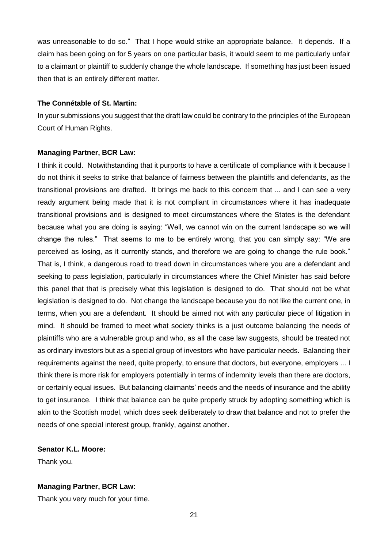was unreasonable to do so." That I hope would strike an appropriate balance. It depends. If a claim has been going on for 5 years on one particular basis, it would seem to me particularly unfair to a claimant or plaintiff to suddenly change the whole landscape. If something has just been issued then that is an entirely different matter.

## **The Connétable of St. Martin:**

In your submissions you suggest that the draft law could be contrary to the principles of the European Court of Human Rights.

## **Managing Partner, BCR Law:**

I think it could. Notwithstanding that it purports to have a certificate of compliance with it because I do not think it seeks to strike that balance of fairness between the plaintiffs and defendants, as the transitional provisions are drafted. It brings me back to this concern that ... and I can see a very ready argument being made that it is not compliant in circumstances where it has inadequate transitional provisions and is designed to meet circumstances where the States is the defendant because what you are doing is saying: "Well, we cannot win on the current landscape so we will change the rules." That seems to me to be entirely wrong, that you can simply say: "We are perceived as losing, as it currently stands, and therefore we are going to change the rule book." That is, I think, a dangerous road to tread down in circumstances where you are a defendant and seeking to pass legislation, particularly in circumstances where the Chief Minister has said before this panel that that is precisely what this legislation is designed to do. That should not be what legislation is designed to do. Not change the landscape because you do not like the current one, in terms, when you are a defendant. It should be aimed not with any particular piece of litigation in mind. It should be framed to meet what society thinks is a just outcome balancing the needs of plaintiffs who are a vulnerable group and who, as all the case law suggests, should be treated not as ordinary investors but as a special group of investors who have particular needs. Balancing their requirements against the need, quite properly, to ensure that doctors, but everyone, employers ... I think there is more risk for employers potentially in terms of indemnity levels than there are doctors, or certainly equal issues. But balancing claimants' needs and the needs of insurance and the ability to get insurance. I think that balance can be quite properly struck by adopting something which is akin to the Scottish model, which does seek deliberately to draw that balance and not to prefer the needs of one special interest group, frankly, against another.

## **Senator K.L. Moore:**

Thank you.

## **Managing Partner, BCR Law:**

Thank you very much for your time.